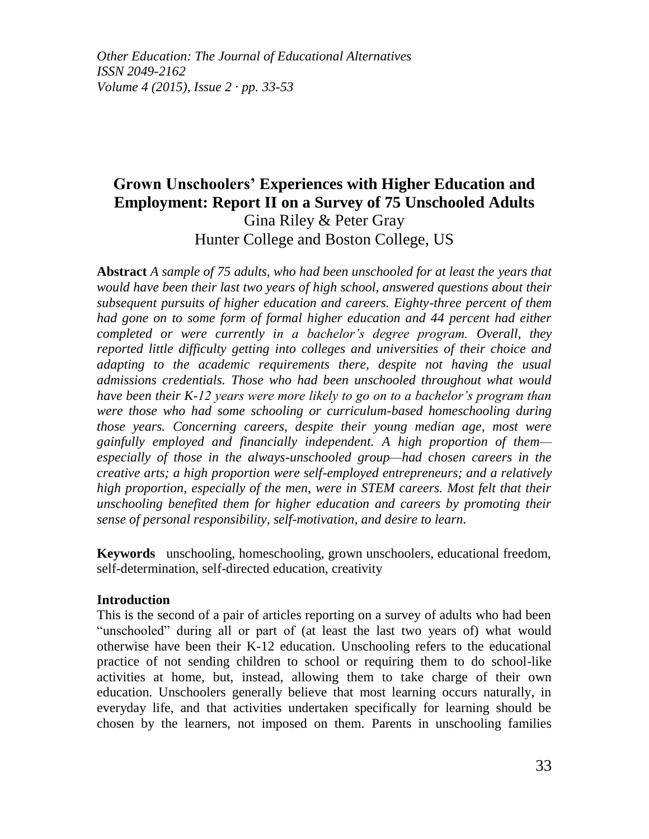*Other Education: The Journal of Educational Alternatives ISSN 2049-2162 Volume 4 (2015), Issue 2 · pp. 33-53*

# **Grown Unschoolers' Experiences with Higher Education and Employment: Report II on a Survey of 75 Unschooled Adults** Gina Riley & Peter Gray Hunter College and Boston College, US

**Abstract** *A sample of 75 adults, who had been unschooled for at least the years that would have been their last two years of high school, answered questions about their subsequent pursuits of higher education and careers. Eighty-three percent of them had gone on to some form of formal higher education and 44 percent had either completed or were currently in a bachelor's degree program. Overall, they reported little difficulty getting into colleges and universities of their choice and adapting to the academic requirements there, despite not having the usual admissions credentials. Those who had been unschooled throughout what would have been their K-12 years were more likely to go on to a bachelor's program than were those who had some schooling or curriculum-based homeschooling during those years. Concerning careers, despite their young median age, most were gainfully employed and financially independent. A high proportion of them especially of those in the always-unschooled group—had chosen careers in the creative arts; a high proportion were self-employed entrepreneurs; and a relatively high proportion, especially of the men, were in STEM careers. Most felt that their unschooling benefited them for higher education and careers by promoting their sense of personal responsibility, self-motivation, and desire to learn.*

**Keywords** unschooling, homeschooling, grown unschoolers, educational freedom, self-determination, self-directed education, creativity

### **Introduction**

This is the second of a pair of articles reporting on a survey of adults who had been "unschooled" during all or part of (at least the last two years of) what would otherwise have been their K-12 education. Unschooling refers to the educational practice of not sending children to school or requiring them to do school-like activities at home, but, instead, allowing them to take charge of their own education. Unschoolers generally believe that most learning occurs naturally, in everyday life, and that activities undertaken specifically for learning should be chosen by the learners, not imposed on them. Parents in unschooling families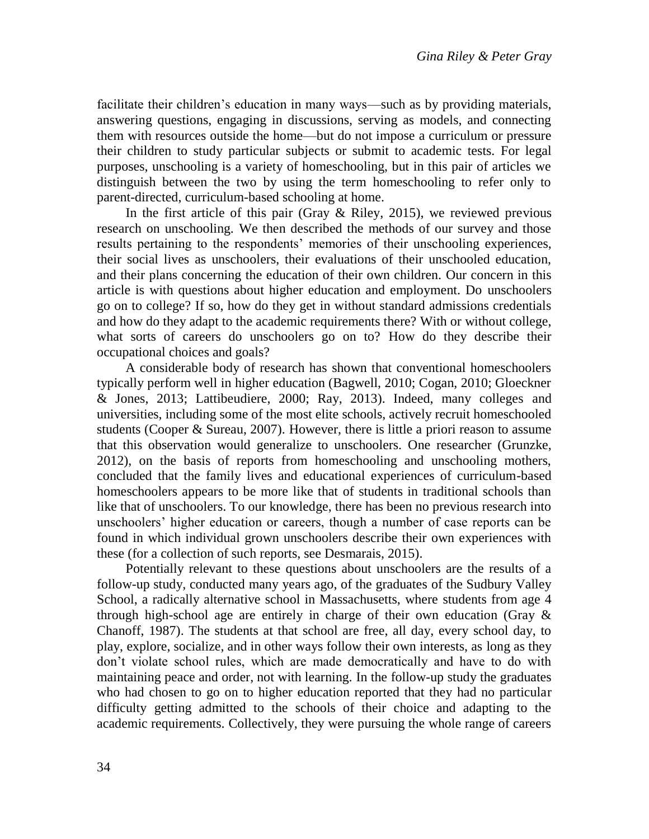facilitate their children's education in many ways—such as by providing materials, answering questions, engaging in discussions, serving as models, and connecting them with resources outside the home—but do not impose a curriculum or pressure their children to study particular subjects or submit to academic tests. For legal purposes, unschooling is a variety of homeschooling, but in this pair of articles we distinguish between the two by using the term homeschooling to refer only to parent-directed, curriculum-based schooling at home.

In the first article of this pair (Gray & Riley, 2015), we reviewed previous research on unschooling. We then described the methods of our survey and those results pertaining to the respondents' memories of their unschooling experiences, their social lives as unschoolers, their evaluations of their unschooled education, and their plans concerning the education of their own children. Our concern in this article is with questions about higher education and employment. Do unschoolers go on to college? If so, how do they get in without standard admissions credentials and how do they adapt to the academic requirements there? With or without college, what sorts of careers do unschoolers go on to? How do they describe their occupational choices and goals?

A considerable body of research has shown that conventional homeschoolers typically perform well in higher education (Bagwell, 2010; Cogan, 2010; Gloeckner & Jones, 2013; Lattibeudiere, 2000; Ray, 2013). Indeed, many colleges and universities, including some of the most elite schools, actively recruit homeschooled students (Cooper & Sureau, 2007). However, there is little a priori reason to assume that this observation would generalize to unschoolers. One researcher (Grunzke, 2012), on the basis of reports from homeschooling and unschooling mothers, concluded that the family lives and educational experiences of curriculum-based homeschoolers appears to be more like that of students in traditional schools than like that of unschoolers. To our knowledge, there has been no previous research into unschoolers' higher education or careers, though a number of case reports can be found in which individual grown unschoolers describe their own experiences with these (for a collection of such reports, see Desmarais, 2015).

Potentially relevant to these questions about unschoolers are the results of a follow-up study, conducted many years ago, of the graduates of the Sudbury Valley School, a radically alternative school in Massachusetts, where students from age 4 through high-school age are entirely in charge of their own education (Gray  $\&$ Chanoff, 1987). The students at that school are free, all day, every school day, to play, explore, socialize, and in other ways follow their own interests, as long as they don't violate school rules, which are made democratically and have to do with maintaining peace and order, not with learning. In the follow-up study the graduates who had chosen to go on to higher education reported that they had no particular difficulty getting admitted to the schools of their choice and adapting to the academic requirements. Collectively, they were pursuing the whole range of careers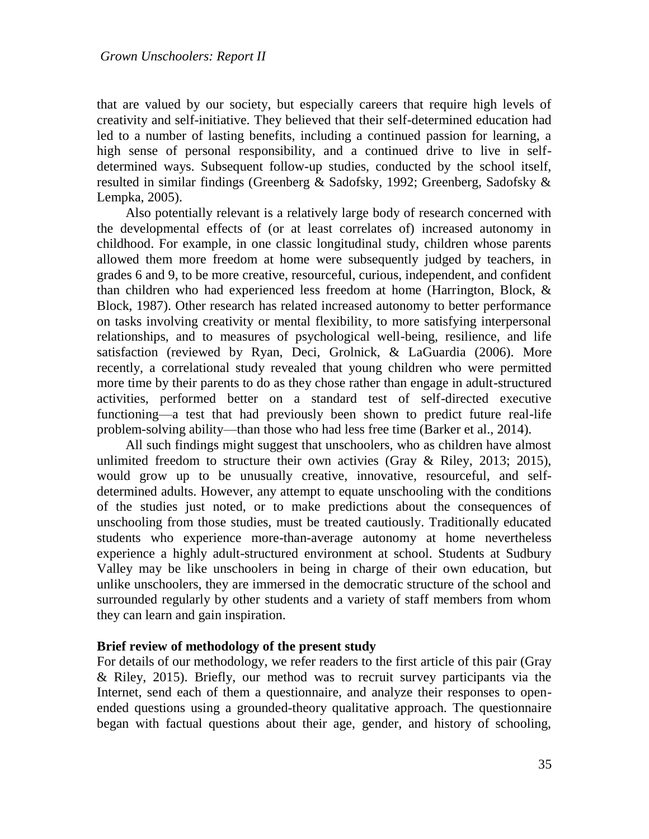that are valued by our society, but especially careers that require high levels of creativity and self-initiative. They believed that their self-determined education had led to a number of lasting benefits, including a continued passion for learning, a high sense of personal responsibility, and a continued drive to live in selfdetermined ways. Subsequent follow-up studies, conducted by the school itself, resulted in similar findings (Greenberg & Sadofsky, 1992; Greenberg, Sadofsky & Lempka, 2005).

Also potentially relevant is a relatively large body of research concerned with the developmental effects of (or at least correlates of) increased autonomy in childhood. For example, in one classic longitudinal study, children whose parents allowed them more freedom at home were subsequently judged by teachers, in grades 6 and 9, to be more creative, resourceful, curious, independent, and confident than children who had experienced less freedom at home (Harrington, Block, & Block, 1987). Other research has related increased autonomy to better performance on tasks involving creativity or mental flexibility, to more satisfying interpersonal relationships, and to measures of psychological well-being, resilience, and life satisfaction (reviewed by Ryan, Deci, Grolnick, & LaGuardia (2006). More recently, a correlational study revealed that young children who were permitted more time by their parents to do as they chose rather than engage in adult-structured activities, performed better on a standard test of self-directed executive functioning—a test that had previously been shown to predict future real-life problem-solving ability—than those who had less free time (Barker et al., 2014).

All such findings might suggest that unschoolers, who as children have almost unlimited freedom to structure their own activies (Gray & Riley, 2013; 2015), would grow up to be unusually creative, innovative, resourceful, and selfdetermined adults. However, any attempt to equate unschooling with the conditions of the studies just noted, or to make predictions about the consequences of unschooling from those studies, must be treated cautiously. Traditionally educated students who experience more-than-average autonomy at home nevertheless experience a highly adult-structured environment at school. Students at Sudbury Valley may be like unschoolers in being in charge of their own education, but unlike unschoolers, they are immersed in the democratic structure of the school and surrounded regularly by other students and a variety of staff members from whom they can learn and gain inspiration.

### **Brief review of methodology of the present study**

For details of our methodology, we refer readers to the first article of this pair (Gray & Riley, 2015). Briefly, our method was to recruit survey participants via the Internet, send each of them a questionnaire, and analyze their responses to openended questions using a grounded-theory qualitative approach. The questionnaire began with factual questions about their age, gender, and history of schooling,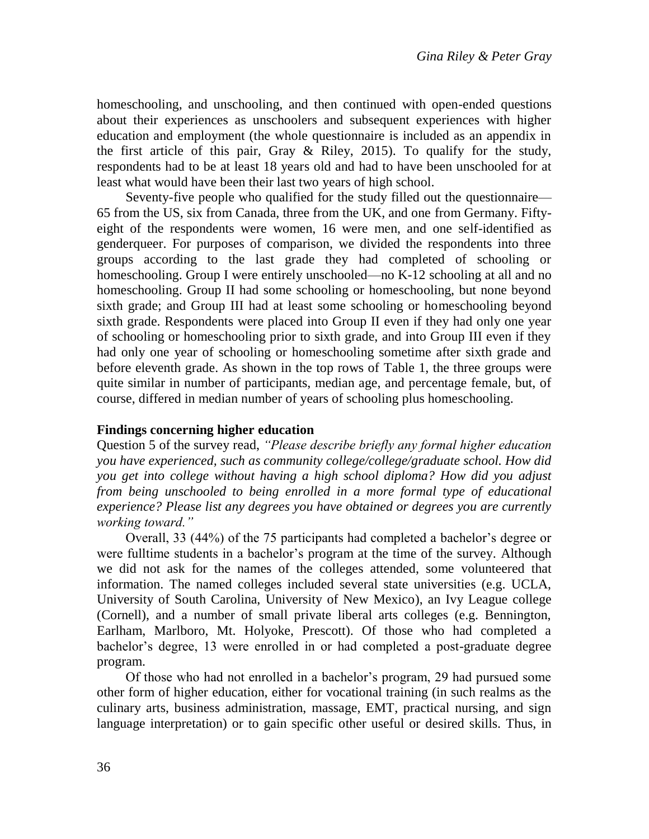homeschooling, and unschooling, and then continued with open-ended questions about their experiences as unschoolers and subsequent experiences with higher education and employment (the whole questionnaire is included as an appendix in the first article of this pair, Gray & Riley, 2015). To qualify for the study, respondents had to be at least 18 years old and had to have been unschooled for at least what would have been their last two years of high school.

Seventy-five people who qualified for the study filled out the questionnaire— 65 from the US, six from Canada, three from the UK, and one from Germany. Fiftyeight of the respondents were women, 16 were men, and one self-identified as genderqueer. For purposes of comparison, we divided the respondents into three groups according to the last grade they had completed of schooling or homeschooling. Group I were entirely unschooled—no K-12 schooling at all and no homeschooling. Group II had some schooling or homeschooling, but none beyond sixth grade; and Group III had at least some schooling or homeschooling beyond sixth grade. Respondents were placed into Group II even if they had only one year of schooling or homeschooling prior to sixth grade, and into Group III even if they had only one year of schooling or homeschooling sometime after sixth grade and before eleventh grade. As shown in the top rows of Table 1, the three groups were quite similar in number of participants, median age, and percentage female, but, of course, differed in median number of years of schooling plus homeschooling.

# **Findings concerning higher education**

Question 5 of the survey read, *"Please describe briefly any formal higher education you have experienced, such as community college/college/graduate school. How did you get into college without having a high school diploma? How did you adjust from being unschooled to being enrolled in a more formal type of educational experience? Please list any degrees you have obtained or degrees you are currently working toward."*

Overall, 33 (44%) of the 75 participants had completed a bachelor's degree or were fulltime students in a bachelor's program at the time of the survey. Although we did not ask for the names of the colleges attended, some volunteered that information. The named colleges included several state universities (e.g. UCLA, University of South Carolina, University of New Mexico), an Ivy League college (Cornell), and a number of small private liberal arts colleges (e.g. Bennington, Earlham, Marlboro, Mt. Holyoke, Prescott). Of those who had completed a bachelor's degree, 13 were enrolled in or had completed a post-graduate degree program.

Of those who had not enrolled in a bachelor's program, 29 had pursued some other form of higher education, either for vocational training (in such realms as the culinary arts, business administration, massage, EMT, practical nursing, and sign language interpretation) or to gain specific other useful or desired skills. Thus, in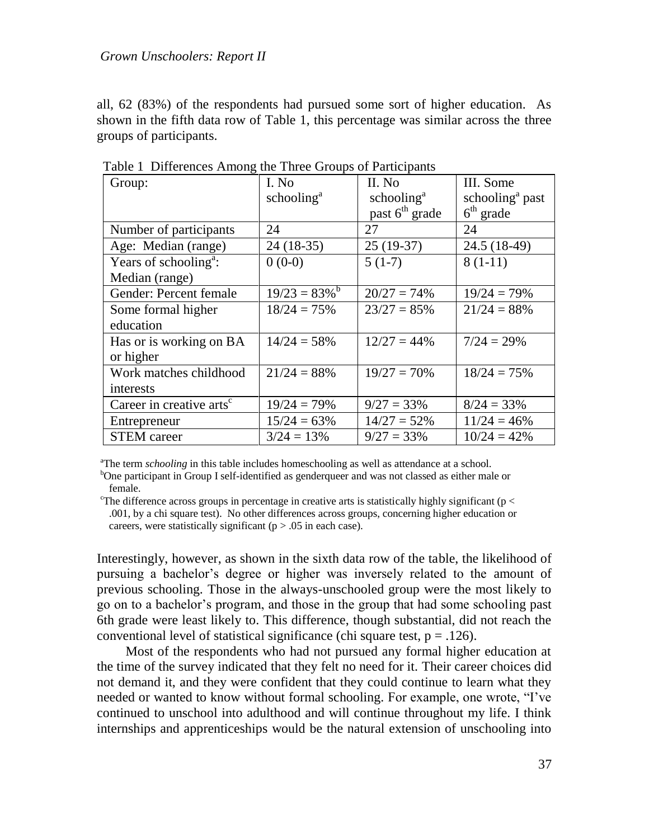all, 62 (83%) of the respondents had pursued some sort of higher education. As shown in the fifth data row of Table 1, this percentage was similar across the three groups of participants.

| Group:                               | I. No                       | II. No                     | III. Some                   |
|--------------------------------------|-----------------------------|----------------------------|-----------------------------|
|                                      | schooling <sup>a</sup>      | schooling <sup>a</sup>     | schooling <sup>a</sup> past |
|                                      |                             | past 6 <sup>th</sup> grade | $6th$ grade                 |
| Number of participants               | 24                          | 27                         | 24                          |
| Age: Median (range)                  | $24(18-35)$                 | $25(19-37)$                | 24.5 (18-49)                |
| Years of schooling <sup>a</sup> :    | $0(0-0)$                    | $5(1-7)$                   | $8(1-11)$                   |
| Median (range)                       |                             |                            |                             |
| Gender: Percent female               | $19/23 = 83\%$ <sup>b</sup> | $20/27 = 74%$              | $19/24 = 79%$               |
| Some formal higher                   | $18/24 = 75%$               | $23/27 = 85%$              | $21/24 = 88\%$              |
| education                            |                             |                            |                             |
| Has or is working on BA              | $14/24 = 58\%$              | $12/27 = 44\%$             | $7/24 = 29\%$               |
| or higher                            |                             |                            |                             |
| Work matches childhood               | $21/24 = 88\%$              | $19/27 = 70%$              | $18/24 = 75%$               |
| interests                            |                             |                            |                             |
| Career in creative arts <sup>c</sup> | $19/24 = 79%$               | $9/27 = 33\%$              | $8/24 = 33\%$               |
| Entrepreneur                         | $15/24 = 63\%$              | $14/27 = 52\%$             | $11/24 = 46%$               |
| <b>STEM</b> career                   | $3/24 = 13%$                | $9/27 = 33\%$              | $10/24 = 42%$               |

Table 1 Differences Among the Three Groups of Participants

<sup>a</sup>The term *schooling* in this table includes homeschooling as well as attendance at a school.

<sup>b</sup>One participant in Group I self-identified as genderqueer and was not classed as either male or female.

 $\epsilon$ The difference across groups in percentage in creative arts is statistically highly significant (p  $\epsilon$ ) .001, by a chi square test). No other differences across groups, concerning higher education or careers, were statistically significant ( $p > .05$  in each case).

Interestingly, however, as shown in the sixth data row of the table, the likelihood of pursuing a bachelor's degree or higher was inversely related to the amount of previous schooling. Those in the always-unschooled group were the most likely to go on to a bachelor's program, and those in the group that had some schooling past 6th grade were least likely to. This difference, though substantial, did not reach the conventional level of statistical significance (chi square test,  $p = .126$ ).

Most of the respondents who had not pursued any formal higher education at the time of the survey indicated that they felt no need for it. Their career choices did not demand it, and they were confident that they could continue to learn what they needed or wanted to know without formal schooling. For example, one wrote, "I've continued to unschool into adulthood and will continue throughout my life. I think internships and apprenticeships would be the natural extension of unschooling into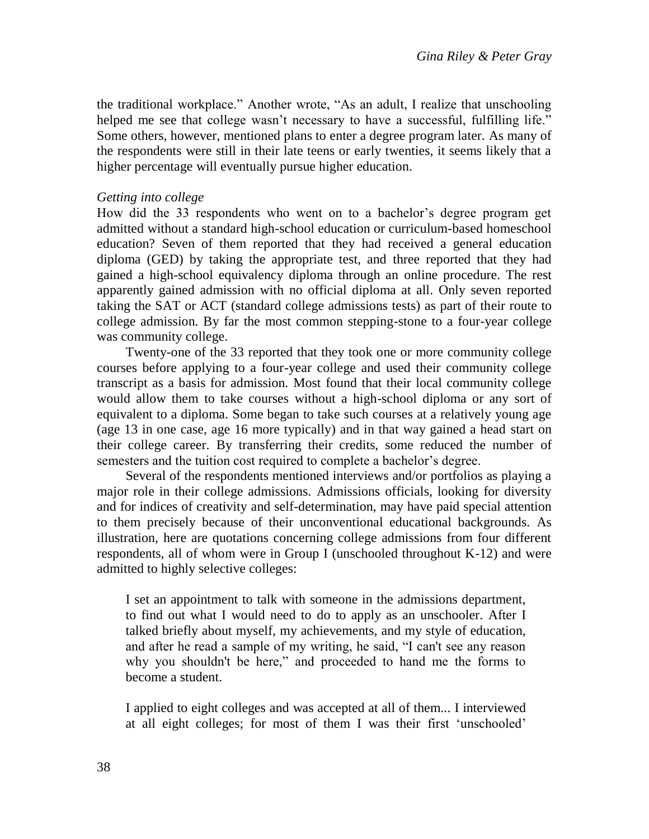the traditional workplace." Another wrote, "As an adult, I realize that unschooling helped me see that college wasn't necessary to have a successful, fulfilling life." Some others, however, mentioned plans to enter a degree program later. As many of the respondents were still in their late teens or early twenties, it seems likely that a higher percentage will eventually pursue higher education.

#### *Getting into college*

How did the 33 respondents who went on to a bachelor's degree program get admitted without a standard high-school education or curriculum-based homeschool education? Seven of them reported that they had received a general education diploma (GED) by taking the appropriate test, and three reported that they had gained a high-school equivalency diploma through an online procedure. The rest apparently gained admission with no official diploma at all. Only seven reported taking the SAT or ACT (standard college admissions tests) as part of their route to college admission. By far the most common stepping-stone to a four-year college was community college.

Twenty-one of the 33 reported that they took one or more community college courses before applying to a four-year college and used their community college transcript as a basis for admission. Most found that their local community college would allow them to take courses without a high-school diploma or any sort of equivalent to a diploma. Some began to take such courses at a relatively young age (age 13 in one case, age 16 more typically) and in that way gained a head start on their college career. By transferring their credits, some reduced the number of semesters and the tuition cost required to complete a bachelor's degree.

Several of the respondents mentioned interviews and/or portfolios as playing a major role in their college admissions. Admissions officials, looking for diversity and for indices of creativity and self-determination, may have paid special attention to them precisely because of their unconventional educational backgrounds. As illustration, here are quotations concerning college admissions from four different respondents, all of whom were in Group I (unschooled throughout K-12) and were admitted to highly selective colleges:

I set an appointment to talk with someone in the admissions department, to find out what I would need to do to apply as an unschooler. After I talked briefly about myself, my achievements, and my style of education, and after he read a sample of my writing, he said, "I can't see any reason why you shouldn't be here," and proceeded to hand me the forms to become a student.

I applied to eight colleges and was accepted at all of them... I interviewed at all eight colleges; for most of them I was their first 'unschooled'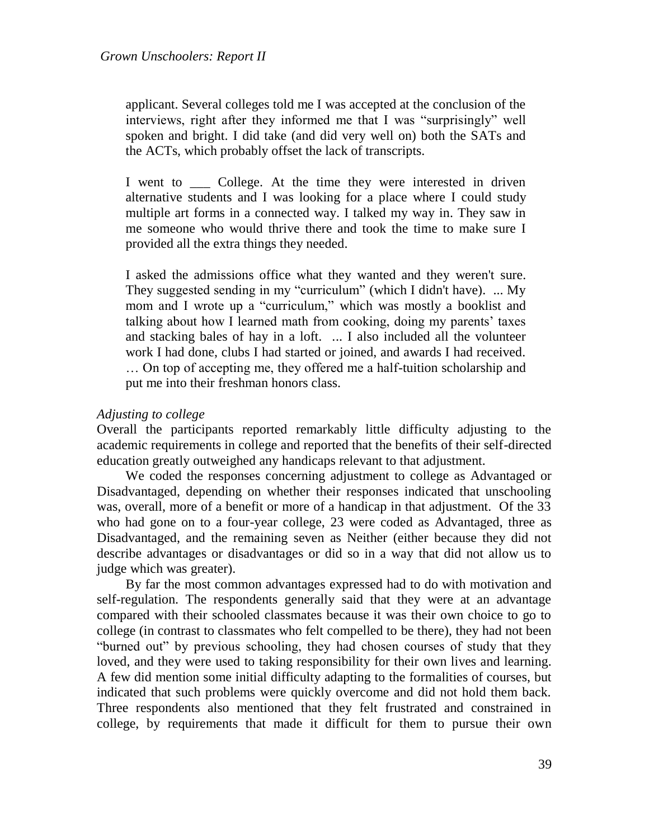applicant. Several colleges told me I was accepted at the conclusion of the interviews, right after they informed me that I was "surprisingly" well spoken and bright. I did take (and did very well on) both the SATs and the ACTs, which probably offset the lack of transcripts.

I went to College. At the time they were interested in driven alternative students and I was looking for a place where I could study multiple art forms in a connected way. I talked my way in. They saw in me someone who would thrive there and took the time to make sure I provided all the extra things they needed.

I asked the admissions office what they wanted and they weren't sure. They suggested sending in my "curriculum" (which I didn't have). ... My mom and I wrote up a "curriculum," which was mostly a booklist and talking about how I learned math from cooking, doing my parents' taxes and stacking bales of hay in a loft. ... I also included all the volunteer work I had done, clubs I had started or joined, and awards I had received. … On top of accepting me, they offered me a half-tuition scholarship and put me into their freshman honors class.

### *Adjusting to college*

Overall the participants reported remarkably little difficulty adjusting to the academic requirements in college and reported that the benefits of their self-directed education greatly outweighed any handicaps relevant to that adjustment.

We coded the responses concerning adjustment to college as Advantaged or Disadvantaged, depending on whether their responses indicated that unschooling was, overall, more of a benefit or more of a handicap in that adjustment. Of the 33 who had gone on to a four-year college, 23 were coded as Advantaged, three as Disadvantaged, and the remaining seven as Neither (either because they did not describe advantages or disadvantages or did so in a way that did not allow us to judge which was greater).

By far the most common advantages expressed had to do with motivation and self-regulation. The respondents generally said that they were at an advantage compared with their schooled classmates because it was their own choice to go to college (in contrast to classmates who felt compelled to be there), they had not been "burned out" by previous schooling, they had chosen courses of study that they loved, and they were used to taking responsibility for their own lives and learning. A few did mention some initial difficulty adapting to the formalities of courses, but indicated that such problems were quickly overcome and did not hold them back. Three respondents also mentioned that they felt frustrated and constrained in college, by requirements that made it difficult for them to pursue their own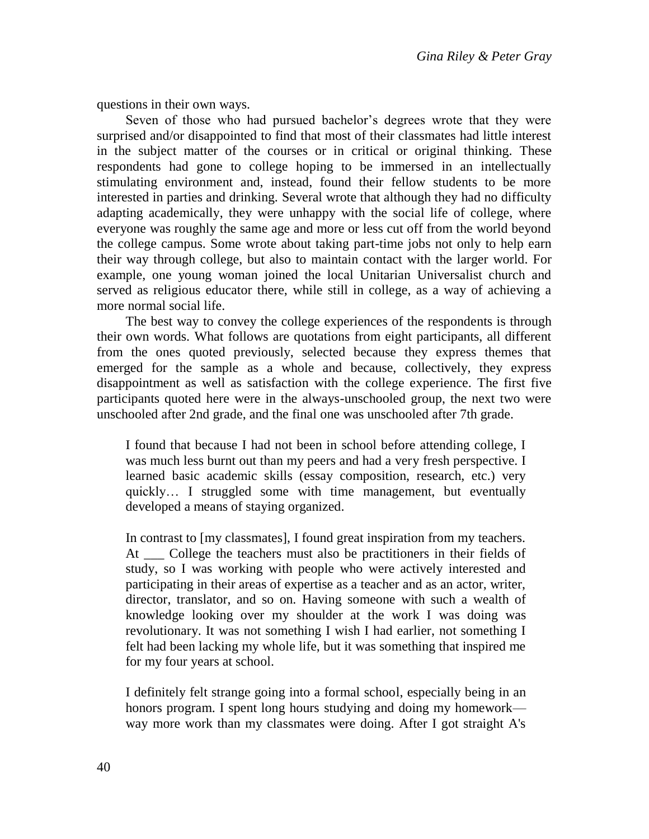questions in their own ways.

Seven of those who had pursued bachelor's degrees wrote that they were surprised and/or disappointed to find that most of their classmates had little interest in the subject matter of the courses or in critical or original thinking. These respondents had gone to college hoping to be immersed in an intellectually stimulating environment and, instead, found their fellow students to be more interested in parties and drinking. Several wrote that although they had no difficulty adapting academically, they were unhappy with the social life of college, where everyone was roughly the same age and more or less cut off from the world beyond the college campus. Some wrote about taking part-time jobs not only to help earn their way through college, but also to maintain contact with the larger world. For example, one young woman joined the local Unitarian Universalist church and served as religious educator there, while still in college, as a way of achieving a more normal social life.

The best way to convey the college experiences of the respondents is through their own words. What follows are quotations from eight participants, all different from the ones quoted previously, selected because they express themes that emerged for the sample as a whole and because, collectively, they express disappointment as well as satisfaction with the college experience. The first five participants quoted here were in the always-unschooled group, the next two were unschooled after 2nd grade, and the final one was unschooled after 7th grade.

I found that because I had not been in school before attending college, I was much less burnt out than my peers and had a very fresh perspective. I learned basic academic skills (essay composition, research, etc.) very quickly… I struggled some with time management, but eventually developed a means of staying organized.

In contrast to [my classmates], I found great inspiration from my teachers. At College the teachers must also be practitioners in their fields of study, so I was working with people who were actively interested and participating in their areas of expertise as a teacher and as an actor, writer, director, translator, and so on. Having someone with such a wealth of knowledge looking over my shoulder at the work I was doing was revolutionary. It was not something I wish I had earlier, not something I felt had been lacking my whole life, but it was something that inspired me for my four years at school.

I definitely felt strange going into a formal school, especially being in an honors program. I spent long hours studying and doing my homework way more work than my classmates were doing. After I got straight A's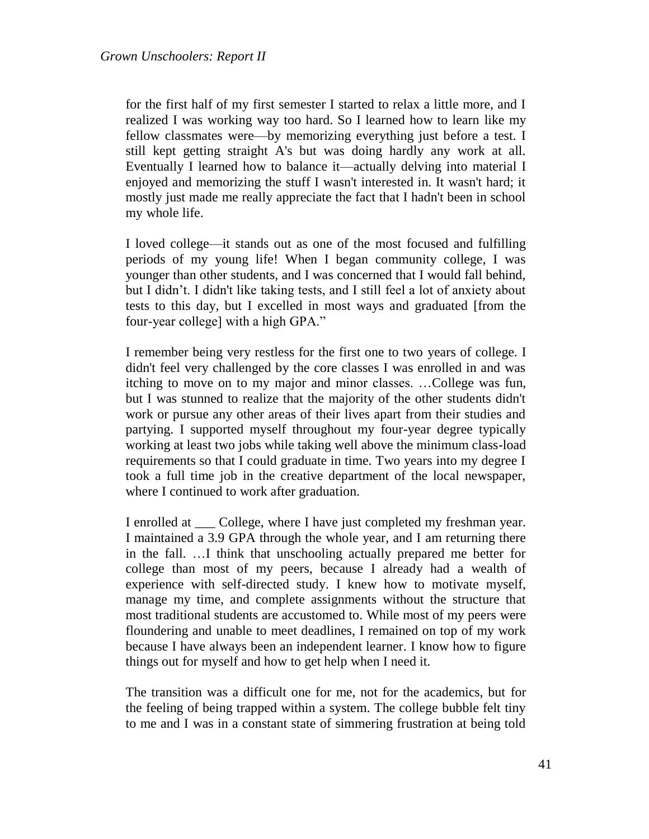for the first half of my first semester I started to relax a little more, and I realized I was working way too hard. So I learned how to learn like my fellow classmates were—by memorizing everything just before a test. I still kept getting straight A's but was doing hardly any work at all. Eventually I learned how to balance it—actually delving into material I enjoyed and memorizing the stuff I wasn't interested in. It wasn't hard; it mostly just made me really appreciate the fact that I hadn't been in school my whole life.

I loved college—it stands out as one of the most focused and fulfilling periods of my young life! When I began community college, I was younger than other students, and I was concerned that I would fall behind, but I didn't. I didn't like taking tests, and I still feel a lot of anxiety about tests to this day, but I excelled in most ways and graduated [from the four-year college] with a high GPA."

I remember being very restless for the first one to two years of college. I didn't feel very challenged by the core classes I was enrolled in and was itching to move on to my major and minor classes. …College was fun, but I was stunned to realize that the majority of the other students didn't work or pursue any other areas of their lives apart from their studies and partying. I supported myself throughout my four-year degree typically working at least two jobs while taking well above the minimum class-load requirements so that I could graduate in time. Two years into my degree I took a full time job in the creative department of the local newspaper, where I continued to work after graduation.

I enrolled at \_\_\_ College, where I have just completed my freshman year. I maintained a 3.9 GPA through the whole year, and I am returning there in the fall. …I think that unschooling actually prepared me better for college than most of my peers, because I already had a wealth of experience with self-directed study. I knew how to motivate myself, manage my time, and complete assignments without the structure that most traditional students are accustomed to. While most of my peers were floundering and unable to meet deadlines, I remained on top of my work because I have always been an independent learner. I know how to figure things out for myself and how to get help when I need it.

The transition was a difficult one for me, not for the academics, but for the feeling of being trapped within a system. The college bubble felt tiny to me and I was in a constant state of simmering frustration at being told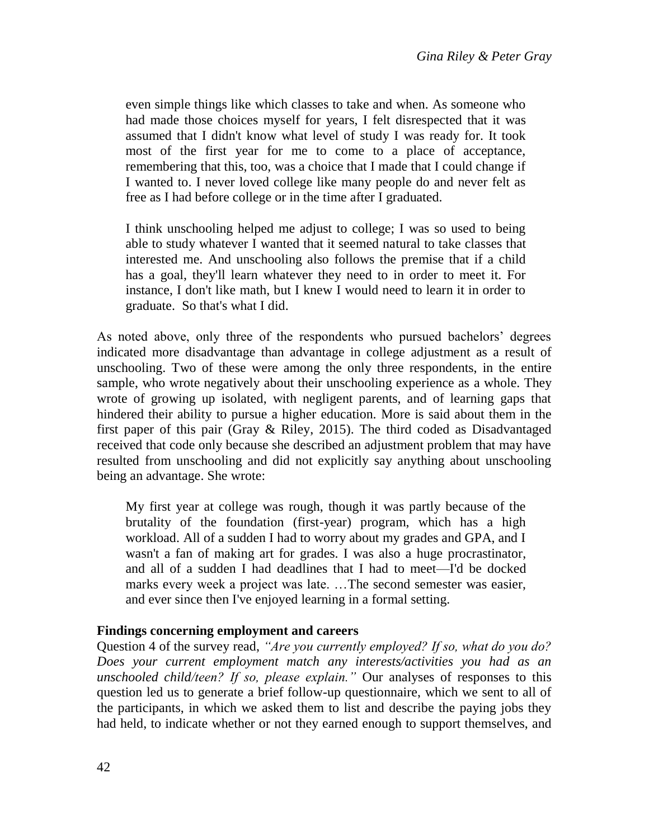even simple things like which classes to take and when. As someone who had made those choices myself for years, I felt disrespected that it was assumed that I didn't know what level of study I was ready for. It took most of the first year for me to come to a place of acceptance, remembering that this, too, was a choice that I made that I could change if I wanted to. I never loved college like many people do and never felt as free as I had before college or in the time after I graduated.

I think unschooling helped me adjust to college; I was so used to being able to study whatever I wanted that it seemed natural to take classes that interested me. And unschooling also follows the premise that if a child has a goal, they'll learn whatever they need to in order to meet it. For instance, I don't like math, but I knew I would need to learn it in order to graduate. So that's what I did.

As noted above, only three of the respondents who pursued bachelors' degrees indicated more disadvantage than advantage in college adjustment as a result of unschooling. Two of these were among the only three respondents, in the entire sample, who wrote negatively about their unschooling experience as a whole. They wrote of growing up isolated, with negligent parents, and of learning gaps that hindered their ability to pursue a higher education. More is said about them in the first paper of this pair (Gray & Riley, 2015). The third coded as Disadvantaged received that code only because she described an adjustment problem that may have resulted from unschooling and did not explicitly say anything about unschooling being an advantage. She wrote:

My first year at college was rough, though it was partly because of the brutality of the foundation (first-year) program, which has a high workload. All of a sudden I had to worry about my grades and GPA, and I wasn't a fan of making art for grades. I was also a huge procrastinator, and all of a sudden I had deadlines that I had to meet—I'd be docked marks every week a project was late. …The second semester was easier, and ever since then I've enjoyed learning in a formal setting.

# **Findings concerning employment and careers**

Question 4 of the survey read, *"Are you currently employed? If so, what do you do? Does your current employment match any interests/activities you had as an unschooled child/teen? If so, please explain."* Our analyses of responses to this question led us to generate a brief follow-up questionnaire, which we sent to all of the participants, in which we asked them to list and describe the paying jobs they had held, to indicate whether or not they earned enough to support themselves, and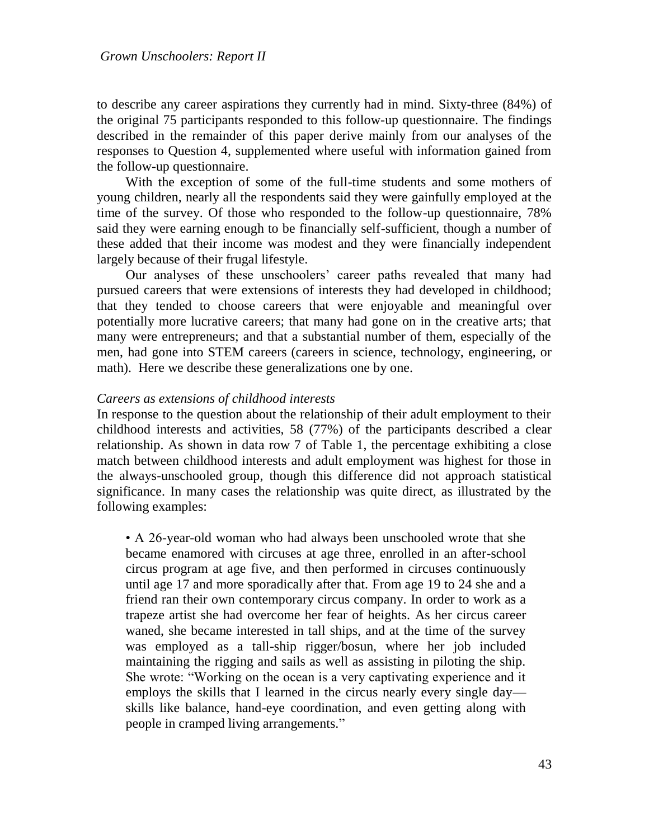to describe any career aspirations they currently had in mind. Sixty-three (84%) of the original 75 participants responded to this follow-up questionnaire. The findings described in the remainder of this paper derive mainly from our analyses of the responses to Question 4, supplemented where useful with information gained from the follow-up questionnaire.

With the exception of some of the full-time students and some mothers of young children, nearly all the respondents said they were gainfully employed at the time of the survey. Of those who responded to the follow-up questionnaire, 78% said they were earning enough to be financially self-sufficient, though a number of these added that their income was modest and they were financially independent largely because of their frugal lifestyle.

Our analyses of these unschoolers' career paths revealed that many had pursued careers that were extensions of interests they had developed in childhood; that they tended to choose careers that were enjoyable and meaningful over potentially more lucrative careers; that many had gone on in the creative arts; that many were entrepreneurs; and that a substantial number of them, especially of the men, had gone into STEM careers (careers in science, technology, engineering, or math). Here we describe these generalizations one by one.

### *Careers as extensions of childhood interests*

In response to the question about the relationship of their adult employment to their childhood interests and activities, 58 (77%) of the participants described a clear relationship. As shown in data row 7 of Table 1, the percentage exhibiting a close match between childhood interests and adult employment was highest for those in the always-unschooled group, though this difference did not approach statistical significance. In many cases the relationship was quite direct, as illustrated by the following examples:

• A 26-year-old woman who had always been unschooled wrote that she became enamored with circuses at age three, enrolled in an after-school circus program at age five, and then performed in circuses continuously until age 17 and more sporadically after that. From age 19 to 24 she and a friend ran their own contemporary circus company. In order to work as a trapeze artist she had overcome her fear of heights. As her circus career waned, she became interested in tall ships, and at the time of the survey was employed as a tall-ship rigger/bosun, where her job included maintaining the rigging and sails as well as assisting in piloting the ship. She wrote: "Working on the ocean is a very captivating experience and it employs the skills that I learned in the circus nearly every single day skills like balance, hand-eye coordination, and even getting along with people in cramped living arrangements."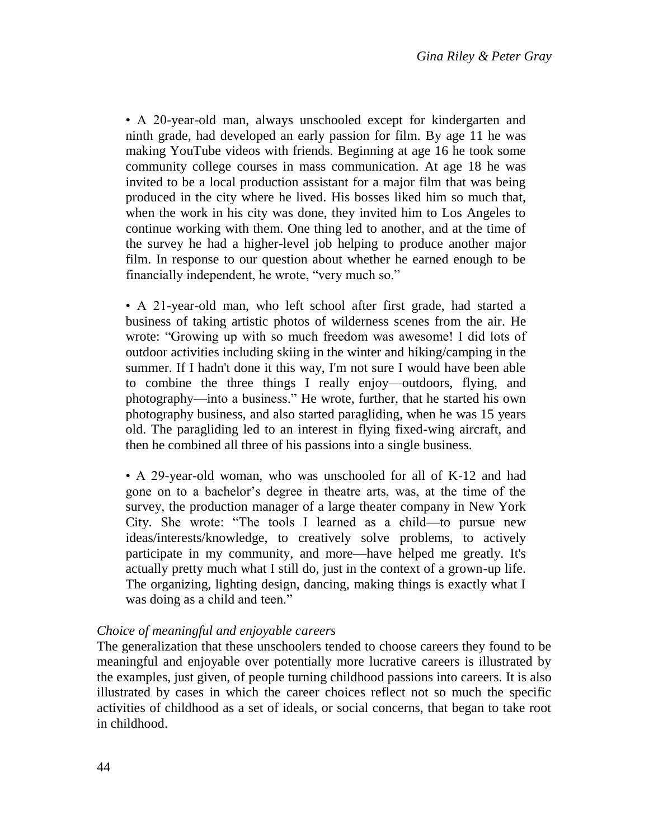• A 20-year-old man, always unschooled except for kindergarten and ninth grade, had developed an early passion for film. By age 11 he was making YouTube videos with friends. Beginning at age 16 he took some community college courses in mass communication. At age 18 he was invited to be a local production assistant for a major film that was being produced in the city where he lived. His bosses liked him so much that, when the work in his city was done, they invited him to Los Angeles to continue working with them. One thing led to another, and at the time of the survey he had a higher-level job helping to produce another major film. In response to our question about whether he earned enough to be financially independent, he wrote, "very much so."

• A 21-year-old man, who left school after first grade, had started a business of taking artistic photos of wilderness scenes from the air. He wrote: "Growing up with so much freedom was awesome! I did lots of outdoor activities including skiing in the winter and hiking/camping in the summer. If I hadn't done it this way, I'm not sure I would have been able to combine the three things I really enjoy—outdoors, flying, and photography—into a business." He wrote, further, that he started his own photography business, and also started paragliding, when he was 15 years old. The paragliding led to an interest in flying fixed-wing aircraft, and then he combined all three of his passions into a single business.

• A 29-year-old woman, who was unschooled for all of K-12 and had gone on to a bachelor's degree in theatre arts, was, at the time of the survey, the production manager of a large theater company in New York City. She wrote: "The tools I learned as a child—to pursue new ideas/interests/knowledge, to creatively solve problems, to actively participate in my community, and more—have helped me greatly. It's actually pretty much what I still do, just in the context of a grown-up life. The organizing, lighting design, dancing, making things is exactly what I was doing as a child and teen."

# *Choice of meaningful and enjoyable careers*

The generalization that these unschoolers tended to choose careers they found to be meaningful and enjoyable over potentially more lucrative careers is illustrated by the examples, just given, of people turning childhood passions into careers. It is also illustrated by cases in which the career choices reflect not so much the specific activities of childhood as a set of ideals, or social concerns, that began to take root in childhood.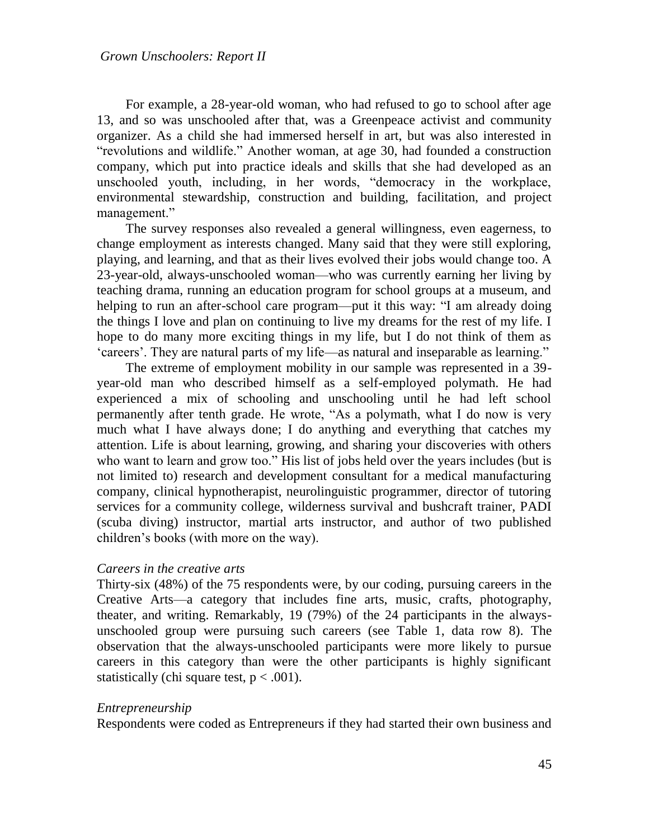For example, a 28-year-old woman, who had refused to go to school after age 13, and so was unschooled after that, was a Greenpeace activist and community organizer. As a child she had immersed herself in art, but was also interested in "revolutions and wildlife." Another woman, at age 30, had founded a construction company, which put into practice ideals and skills that she had developed as an unschooled youth, including, in her words, "democracy in the workplace, environmental stewardship, construction and building, facilitation, and project management."

The survey responses also revealed a general willingness, even eagerness, to change employment as interests changed. Many said that they were still exploring, playing, and learning, and that as their lives evolved their jobs would change too. A 23-year-old, always-unschooled woman—who was currently earning her living by teaching drama, running an education program for school groups at a museum, and helping to run an after-school care program—put it this way: "I am already doing the things I love and plan on continuing to live my dreams for the rest of my life. I hope to do many more exciting things in my life, but I do not think of them as 'careers'. They are natural parts of my life—as natural and inseparable as learning."

The extreme of employment mobility in our sample was represented in a 39 year-old man who described himself as a self-employed polymath. He had experienced a mix of schooling and unschooling until he had left school permanently after tenth grade. He wrote, "As a polymath, what I do now is very much what I have always done; I do anything and everything that catches my attention. Life is about learning, growing, and sharing your discoveries with others who want to learn and grow too." His list of jobs held over the years includes (but is not limited to) research and development consultant for a medical manufacturing company, clinical hypnotherapist, neurolinguistic programmer, director of tutoring services for a community college, wilderness survival and bushcraft trainer, PADI (scuba diving) instructor, martial arts instructor, and author of two published children's books (with more on the way).

### *Careers in the creative arts*

Thirty-six (48%) of the 75 respondents were, by our coding, pursuing careers in the Creative Arts—a category that includes fine arts, music, crafts, photography, theater, and writing. Remarkably, 19 (79%) of the 24 participants in the alwaysunschooled group were pursuing such careers (see Table 1, data row 8). The observation that the always-unschooled participants were more likely to pursue careers in this category than were the other participants is highly significant statistically (chi square test,  $p < .001$ ).

#### *Entrepreneurship*

Respondents were coded as Entrepreneurs if they had started their own business and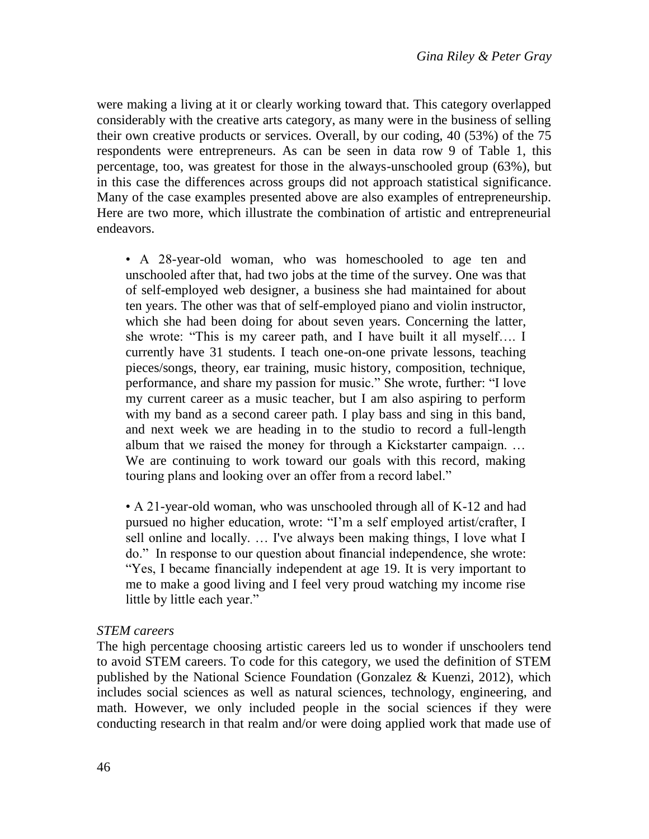were making a living at it or clearly working toward that. This category overlapped considerably with the creative arts category, as many were in the business of selling their own creative products or services. Overall, by our coding, 40 (53%) of the 75 respondents were entrepreneurs. As can be seen in data row 9 of Table 1, this percentage, too, was greatest for those in the always-unschooled group (63%), but in this case the differences across groups did not approach statistical significance. Many of the case examples presented above are also examples of entrepreneurship. Here are two more, which illustrate the combination of artistic and entrepreneurial endeavors.

• A 28-year-old woman, who was homeschooled to age ten and unschooled after that, had two jobs at the time of the survey. One was that of self-employed web designer, a business she had maintained for about ten years. The other was that of self-employed piano and violin instructor, which she had been doing for about seven years. Concerning the latter, she wrote: "This is my career path, and I have built it all myself…. I currently have 31 students. I teach one-on-one private lessons, teaching pieces/songs, theory, ear training, music history, composition, technique, performance, and share my passion for music." She wrote, further: "I love my current career as a music teacher, but I am also aspiring to perform with my band as a second career path. I play bass and sing in this band, and next week we are heading in to the studio to record a full-length album that we raised the money for through a Kickstarter campaign. … We are continuing to work toward our goals with this record, making touring plans and looking over an offer from a record label."

• A 21-year-old woman, who was unschooled through all of K-12 and had pursued no higher education, wrote: "I'm a self employed artist/crafter, I sell online and locally. … I've always been making things, I love what I do." In response to our question about financial independence, she wrote: "Yes, I became financially independent at age 19. It is very important to me to make a good living and I feel very proud watching my income rise little by little each year."

### *STEM careers*

The high percentage choosing artistic careers led us to wonder if unschoolers tend to avoid STEM careers. To code for this category, we used the definition of STEM published by the National Science Foundation (Gonzalez & Kuenzi, 2012), which includes social sciences as well as natural sciences, technology, engineering, and math. However, we only included people in the social sciences if they were conducting research in that realm and/or were doing applied work that made use of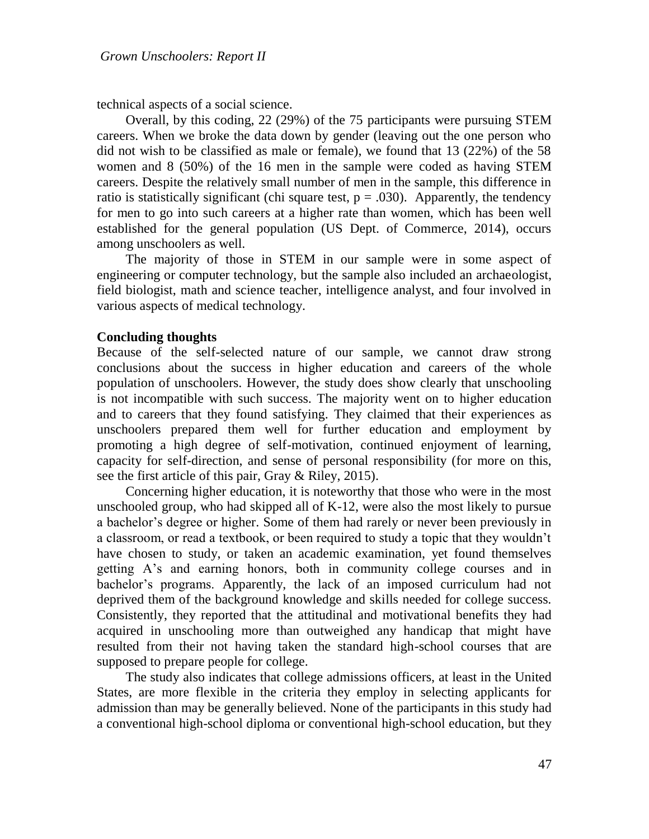technical aspects of a social science.

Overall, by this coding, 22 (29%) of the 75 participants were pursuing STEM careers. When we broke the data down by gender (leaving out the one person who did not wish to be classified as male or female), we found that 13 (22%) of the 58 women and 8 (50%) of the 16 men in the sample were coded as having STEM careers. Despite the relatively small number of men in the sample, this difference in ratio is statistically significant (chi square test,  $p = .030$ ). Apparently, the tendency for men to go into such careers at a higher rate than women, which has been well established for the general population (US Dept. of Commerce, 2014), occurs among unschoolers as well.

The majority of those in STEM in our sample were in some aspect of engineering or computer technology, but the sample also included an archaeologist, field biologist, math and science teacher, intelligence analyst, and four involved in various aspects of medical technology.

### **Concluding thoughts**

Because of the self-selected nature of our sample, we cannot draw strong conclusions about the success in higher education and careers of the whole population of unschoolers. However, the study does show clearly that unschooling is not incompatible with such success. The majority went on to higher education and to careers that they found satisfying. They claimed that their experiences as unschoolers prepared them well for further education and employment by promoting a high degree of self-motivation, continued enjoyment of learning, capacity for self-direction, and sense of personal responsibility (for more on this, see the first article of this pair, Gray & Riley, 2015).

Concerning higher education, it is noteworthy that those who were in the most unschooled group, who had skipped all of K-12, were also the most likely to pursue a bachelor's degree or higher. Some of them had rarely or never been previously in a classroom, or read a textbook, or been required to study a topic that they wouldn't have chosen to study, or taken an academic examination, yet found themselves getting A's and earning honors, both in community college courses and in bachelor's programs. Apparently, the lack of an imposed curriculum had not deprived them of the background knowledge and skills needed for college success. Consistently, they reported that the attitudinal and motivational benefits they had acquired in unschooling more than outweighed any handicap that might have resulted from their not having taken the standard high-school courses that are supposed to prepare people for college.

The study also indicates that college admissions officers, at least in the United States, are more flexible in the criteria they employ in selecting applicants for admission than may be generally believed. None of the participants in this study had a conventional high-school diploma or conventional high-school education, but they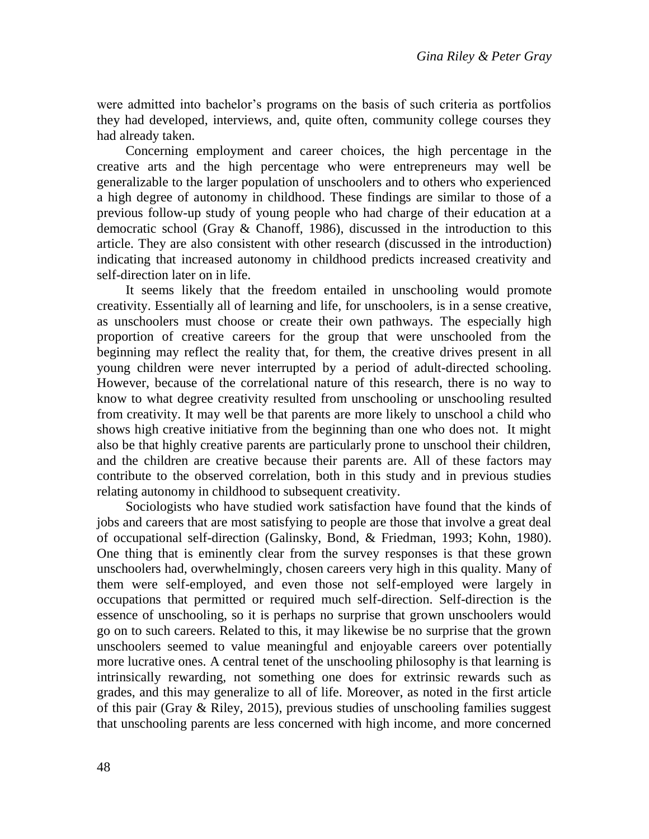were admitted into bachelor's programs on the basis of such criteria as portfolios they had developed, interviews, and, quite often, community college courses they had already taken.

Concerning employment and career choices, the high percentage in the creative arts and the high percentage who were entrepreneurs may well be generalizable to the larger population of unschoolers and to others who experienced a high degree of autonomy in childhood. These findings are similar to those of a previous follow-up study of young people who had charge of their education at a democratic school (Gray & Chanoff, 1986), discussed in the introduction to this article. They are also consistent with other research (discussed in the introduction) indicating that increased autonomy in childhood predicts increased creativity and self-direction later on in life.

It seems likely that the freedom entailed in unschooling would promote creativity. Essentially all of learning and life, for unschoolers, is in a sense creative, as unschoolers must choose or create their own pathways. The especially high proportion of creative careers for the group that were unschooled from the beginning may reflect the reality that, for them, the creative drives present in all young children were never interrupted by a period of adult-directed schooling. However, because of the correlational nature of this research, there is no way to know to what degree creativity resulted from unschooling or unschooling resulted from creativity. It may well be that parents are more likely to unschool a child who shows high creative initiative from the beginning than one who does not. It might also be that highly creative parents are particularly prone to unschool their children, and the children are creative because their parents are. All of these factors may contribute to the observed correlation, both in this study and in previous studies relating autonomy in childhood to subsequent creativity.

Sociologists who have studied work satisfaction have found that the kinds of jobs and careers that are most satisfying to people are those that involve a great deal of occupational self-direction (Galinsky, Bond, & Friedman, 1993; Kohn, 1980). One thing that is eminently clear from the survey responses is that these grown unschoolers had, overwhelmingly, chosen careers very high in this quality. Many of them were self-employed, and even those not self-employed were largely in occupations that permitted or required much self-direction. Self-direction is the essence of unschooling, so it is perhaps no surprise that grown unschoolers would go on to such careers. Related to this, it may likewise be no surprise that the grown unschoolers seemed to value meaningful and enjoyable careers over potentially more lucrative ones. A central tenet of the unschooling philosophy is that learning is intrinsically rewarding, not something one does for extrinsic rewards such as grades, and this may generalize to all of life. Moreover, as noted in the first article of this pair (Gray & Riley, 2015), previous studies of unschooling families suggest that unschooling parents are less concerned with high income, and more concerned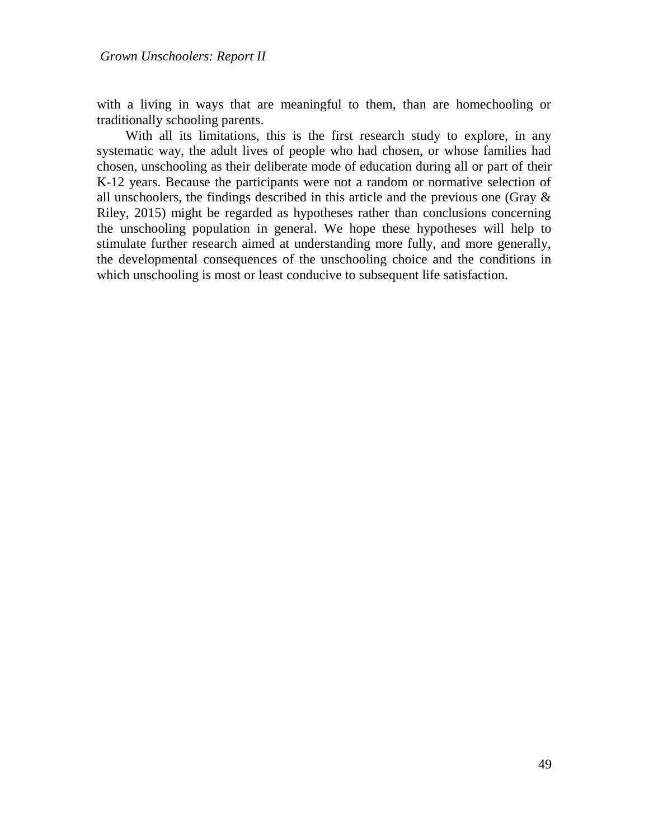with a living in ways that are meaningful to them, than are homechooling or traditionally schooling parents.

With all its limitations, this is the first research study to explore, in any systematic way, the adult lives of people who had chosen, or whose families had chosen, unschooling as their deliberate mode of education during all or part of their K-12 years. Because the participants were not a random or normative selection of all unschoolers, the findings described in this article and the previous one (Gray & Riley, 2015) might be regarded as hypotheses rather than conclusions concerning the unschooling population in general. We hope these hypotheses will help to stimulate further research aimed at understanding more fully, and more generally, the developmental consequences of the unschooling choice and the conditions in which unschooling is most or least conducive to subsequent life satisfaction.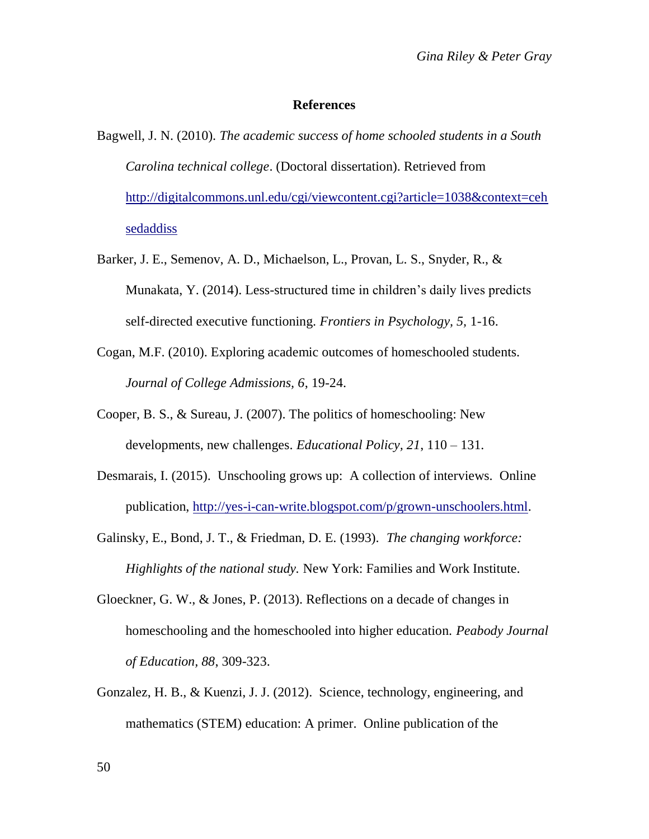#### **References**

- Bagwell, J. N. (2010). *The academic success of home schooled students in a South Carolina technical college*. (Doctoral dissertation). Retrieved from [http://digitalcommons.unl.edu/cgi/viewcontent.cgi?article=1038&context=ceh](http://digitalcommons.unl.edu/cgi/viewcontent.cgi?article=1038&context=cehsedaddiss) [sedaddiss](http://digitalcommons.unl.edu/cgi/viewcontent.cgi?article=1038&context=cehsedaddiss)
- Barker, J. E., Semenov, A. D., Michaelson, L., Provan, L. S., Snyder, R., & Munakata, Y. (2014). Less-structured time in children's daily lives predicts self-directed executive functioning. *Frontiers in Psychology, 5,* 1-16.
- Cogan, M.F. (2010). Exploring academic outcomes of homeschooled students. *Journal of College Admissions, 6*, 19-24.
- Cooper, B. S., & Sureau, J. (2007). The politics of homeschooling: New developments, new challenges. *Educational Policy, 21*, 110 – 131.
- Desmarais, I. (2015). Unschooling grows up: A collection of interviews. Online publication, [http://yes-i-can-write.blogspot.com/p/grown-unschoolers.html.](http://yes-i-can-write.blogspot.com/p/grown-unschoolers.html)
- Galinsky, E., Bond, J. T., & Friedman, D. E. (1993). *The changing workforce: Highlights of the national study.* New York: Families and Work Institute.
- Gloeckner, G. W., & Jones, P. (2013). Reflections on a decade of changes in homeschooling and the homeschooled into higher education. *Peabody Journal of Education, 88*, 309-323.
- Gonzalez, H. B., & Kuenzi, J. J. (2012). Science, technology, engineering, and mathematics (STEM) education: A primer. Online publication of the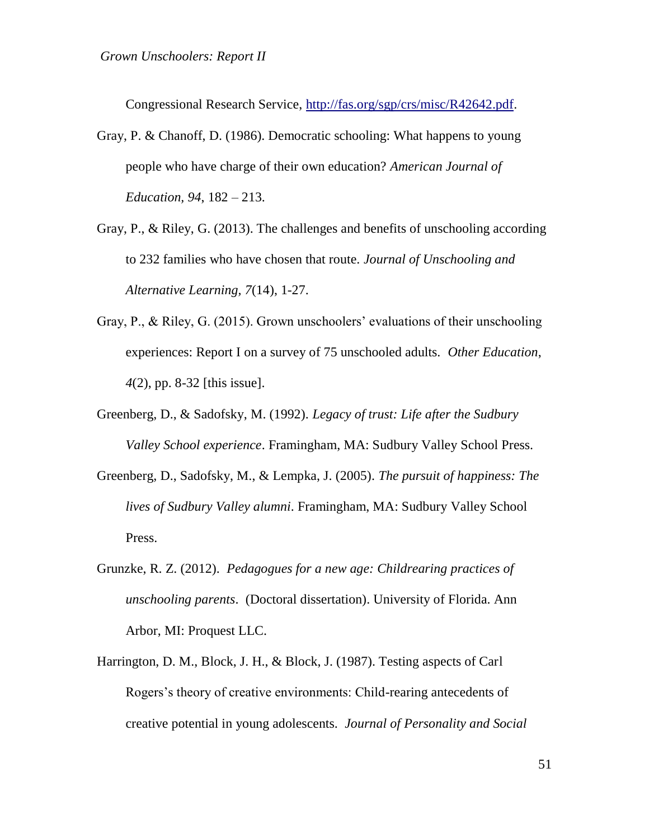Congressional Research Service, [http://fas.org/sgp/crs/misc/R42642.pdf.](http://fas.org/sgp/crs/misc/R42642.pdf)

- Gray, P. & Chanoff, D. (1986). Democratic schooling: What happens to young people who have charge of their own education? *American Journal of Education, 94*, 182 – 213.
- Gray, P., & Riley, G. (2013). The challenges and benefits of unschooling according to 232 families who have chosen that route. *Journal of Unschooling and Alternative Learning, 7*(14), 1-27.
- Gray, P., & Riley, G. (2015). Grown unschoolers' evaluations of their unschooling experiences: Report I on a survey of 75 unschooled adults. *Other Education*, *4*(2), pp. 8-32 [this issue].
- Greenberg, D., & Sadofsky, M. (1992). *Legacy of trust: Life after the Sudbury Valley School experience*. Framingham, MA: Sudbury Valley School Press.
- Greenberg, D., Sadofsky, M., & Lempka, J. (2005). *The pursuit of happiness: The lives of Sudbury Valley alumni*. Framingham, MA: Sudbury Valley School Press.
- Grunzke, R. Z. (2012). *Pedagogues for a new age: Childrearing practices of unschooling parents*. (Doctoral dissertation). University of Florida. Ann Arbor, MI: Proquest LLC.
- Harrington, D. M., Block, J. H., & Block, J. (1987). Testing aspects of Carl Rogers's theory of creative environments: Child-rearing antecedents of creative potential in young adolescents. *Journal of [Personality](https://www.psychologytoday.com/basics/personality) and Social*

51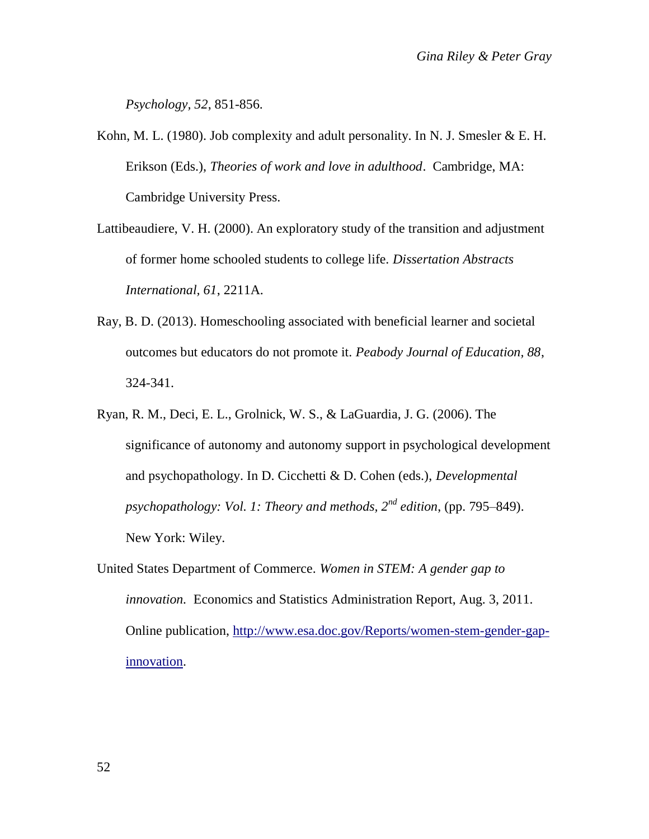*Psychology, 52*, 851-856.

- Kohn, M. L. (1980). Job complexity and adult personality. In N. J. Smesler & E. H. Erikson (Eds.), *Theories of work and love in adulthood*. Cambridge, MA: Cambridge University Press.
- Lattibeaudiere, V. H. (2000). An exploratory study of the transition and adjustment of former home schooled students to college life. *Dissertation Abstracts International, 61*, 2211A.
- Ray, B. D. (2013). Homeschooling associated with beneficial learner and societal outcomes but educators do not promote it. *Peabody Journal of Education, 88*, 324-341.
- Ryan, R. M., Deci, E. L., Grolnick, W. S., & LaGuardia, J. G. (2006). The significance of autonomy and autonomy support in psychological development and psychopathology. In D. Cicchetti & D. Cohen (eds.), *Developmental psychopathology: Vol. 1: Theory and methods, 2nd edition*, (pp. 795–849). New York: Wiley.
- United States Department of Commerce. *Women in STEM: A gender gap to innovation.* Economics and Statistics Administration Report, Aug. 3, 2011. Online publication, [http://www.esa.doc.gov/Reports/women-stem-gender-gap](http://www.esa.doc.gov/Reports/women-stem-gender-gap-innovation)[innovation.](http://www.esa.doc.gov/Reports/women-stem-gender-gap-innovation)